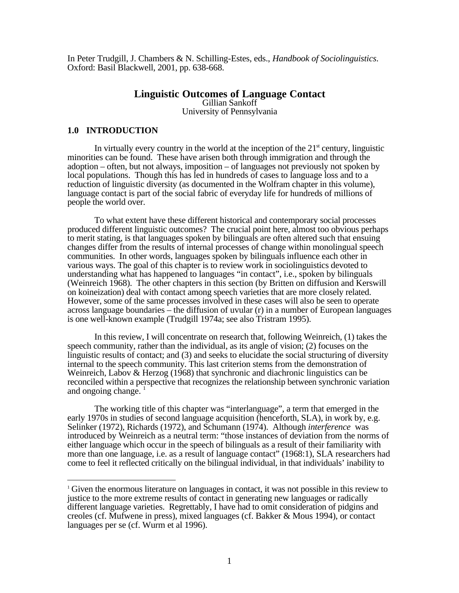In Peter Trudgill, J. Chambers & N. Schilling-Estes, eds., *Handbook of Sociolinguistics*. Oxford: Basil Blackwell, 2001, pp. 638-668.

# **Linguistic Outcomes of Language Contact** Gillian Sankoff

University of Pennsylvania

## **1.0 INTRODUCTION**

<u>.</u>

In virtually every country in the world at the inception of the  $21<sup>st</sup>$  century, linguistic minorities can be found. These have arisen both through immigration and through the adoption – often, but not always, imposition – of languages not previously not spoken by local populations. Though this has led in hundreds of cases to language loss and to a reduction of linguistic diversity (as documented in the Wolfram chapter in this volume), language contact is part of the social fabric of everyday life for hundreds of millions of people the world over.

To what extent have these different historical and contemporary social processes produced different linguistic outcomes? The crucial point here, almost too obvious perhaps to merit stating, is that languages spoken by bilinguals are often altered such that ensuing changes differ from the results of internal processes of change within monolingual speech communities. In other words, languages spoken by bilinguals influence each other in various ways. The goal of this chapter is to review work in sociolinguistics devoted to understanding what has happened to languages "in contact", i.e., spoken by bilinguals (Weinreich 1968). The other chapters in this section (by Britten on diffusion and Kerswill on koineization) deal with contact among speech varieties that are more closely related. However, some of the same processes involved in these cases will also be seen to operate across language boundaries – the diffusion of uvular (r) in a number of European languages is one well-known example (Trudgill 1974a; see also Tristram 1995).

In this review, I will concentrate on research that, following Weinreich, (1) takes the speech community, rather than the individual, as its angle of vision; (2) focuses on the linguistic results of contact; and (3) and seeks to elucidate the social structuring of diversity internal to the speech community. This last criterion stems from the demonstration of Weinreich, Labov & Herzog (1968) that synchronic and diachronic linguistics can be reconciled within a perspective that recognizes the relationship between synchronic variation and ongoing change.  $1$ 

The working title of this chapter was "interlanguage", a term that emerged in the early 1970s in studies of second language acquisition (henceforth, SLA), in work by, e.g. Selinker (1972), Richards (1972), and Schumann (1974). Although *interference* was introduced by Weinreich as a neutral term: "those instances of deviation from the norms of either language which occur in the speech of bilinguals as a result of their familiarity with more than one language, i.e. as a result of language contact" (1968:1), SLA researchers had come to feel it reflected critically on the bilingual individual, in that individuals' inability to

<sup>1</sup> Given the enormous literature on languages in contact, it was not possible in this review to justice to the more extreme results of contact in generating new languages or radically different language varieties. Regrettably, I have had to omit consideration of pidgins and creoles (cf. Mufwene in press), mixed languages (cf. Bakker & Mous 1994), or contact languages per se (cf. Wurm et al 1996).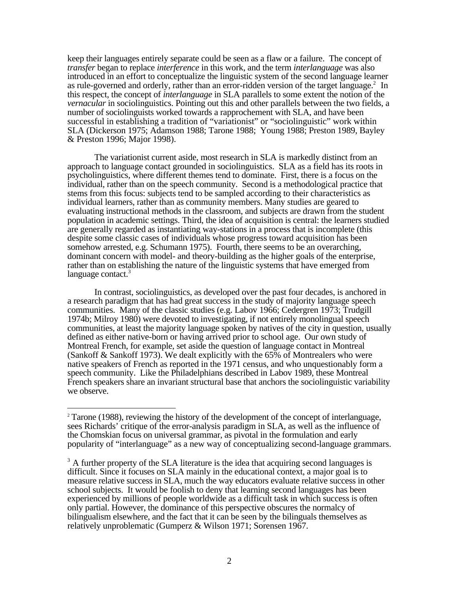keep their languages entirely separate could be seen as a flaw or a failure. The concept of *transfer* began to replace *interference* in this work, and the term *interlanguage* was also introduced in an effort to conceptualize the linguistic system of the second language learner as rule-governed and orderly, rather than an error-ridden version of the target language.<sup>2</sup> In this respect, the concept of *interlanguage* in SLA parallels to some extent the notion of the *vernacular* in sociolinguistics. Pointing out this and other parallels between the two fields, a number of sociolinguists worked towards a rapprochement with SLA, and have been successful in establishing a tradition of "variationist" or "sociolinguistic" work within SLA (Dickerson 1975; Adamson 1988; Tarone 1988; Young 1988; Preston 1989, Bayley & Preston 1996; Major 1998).

The variationist current aside, most research in SLA is markedly distinct from an approach to language contact grounded in sociolinguistics. SLA as a field has its roots in psycholinguistics, where different themes tend to dominate. First, there is a focus on the individual, rather than on the speech community. Second is a methodological practice that stems from this focus: subjects tend to be sampled according to their characteristics as individual learners, rather than as community members. Many studies are geared to evaluating instructional methods in the classroom, and subjects are drawn from the student population in academic settings. Third, the idea of acquisition is central: the learners studied are generally regarded as instantiating way-stations in a process that is incomplete (this despite some classic cases of individuals whose progress toward acquisition has been somehow arrested, e.g. Schumann 1975). Fourth, there seems to be an overarching, dominant concern with model- and theory-building as the higher goals of the enterprise, rather than on establishing the nature of the linguistic systems that have emerged from language contact. $3$ 

In contrast, sociolinguistics, as developed over the past four decades, is anchored in a research paradigm that has had great success in the study of majority language speech communities. Many of the classic studies (e.g. Labov 1966; Cedergren 1973; Trudgill 1974b; Milroy 1980) were devoted to investigating, if not entirely monolingual speech communities, at least the majority language spoken by natives of the city in question, usually defined as either native-born or having arrived prior to school age. Our own study of Montreal French, for example, set aside the question of language contact in Montreal (Sankoff & Sankoff 1973). We dealt explicitly with the 65% of Montrealers who were native speakers of French as reported in the 1971 census, and who unquestionably form a speech community. Like the Philadelphians described in Labov 1989, these Montreal French speakers share an invariant structural base that anchors the sociolinguistic variability we observe.

 $\overline{a}$ 

 $2$ <sup>2</sup> Tarone (1988), reviewing the history of the development of the concept of interlanguage, sees Richards' critique of the error-analysis paradigm in SLA, as well as the influence of the Chomskian focus on universal grammar, as pivotal in the formulation and early popularity of "interlanguage" as a new way of conceptualizing second-language grammars.

<sup>&</sup>lt;sup>3</sup> A further property of the SLA literature is the idea that acquiring second languages is difficult. Since it focuses on SLA mainly in the educational context, a major goal is to measure relative success in SLA, much the way educators evaluate relative success in other school subjects. It would be foolish to deny that learning second languages has been experienced by millions of people worldwide as a difficult task in which success is often only partial. However, the dominance of this perspective obscures the normalcy of bilingualism elsewhere, and the fact that it can be seen by the bilinguals themselves as relatively unproblematic (Gumperz & Wilson 1971; Sorensen 1967.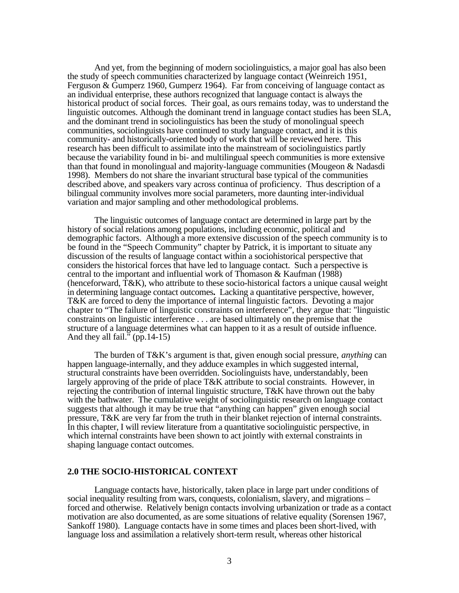And yet, from the beginning of modern sociolinguistics, a major goal has also been the study of speech communities characterized by language contact (Weinreich 1951, Ferguson & Gumperz 1960, Gumperz 1964). Far from conceiving of language contact as an individual enterprise, these authors recognized that language contact is always the historical product of social forces. Their goal, as ours remains today, was to understand the linguistic outcomes. Although the dominant trend in language contact studies has been SLA, and the dominant trend in sociolinguistics has been the study of monolingual speech communities, sociolinguists have continued to study language contact, and it is this community- and historically-oriented body of work that will be reviewed here. This research has been difficult to assimilate into the mainstream of sociolinguistics partly because the variability found in bi- and multilingual speech communities is more extensive than that found in monolingual and majority-language communities (Mougeon & Nadasdi 1998). Members do not share the invariant structural base typical of the communities described above, and speakers vary across continua of proficiency. Thus description of a bilingual community involves more social parameters, more daunting inter-individual variation and major sampling and other methodological problems.

The linguistic outcomes of language contact are determined in large part by the history of social relations among populations, including economic, political and demographic factors. Although a more extensive discussion of the speech community is to be found in the "Speech Community" chapter by Patrick, it is important to situate any discussion of the results of language contact within a sociohistorical perspective that considers the historical forces that have led to language contact. Such a perspective is central to the important and influential work of Thomason & Kaufman (1988) (henceforward,  $T\&K$ ), who attribute to these socio-historical factors a unique causal weight in determining language contact outcomes**.** Lacking a quantitative perspective, however, T&K are forced to deny the importance of internal linguistic factors. Devoting a major chapter to "The failure of linguistic constraints on interference", they argue that: "linguistic constraints on linguistic interference . . . are based ultimately on the premise that the structure of a language determines what can happen to it as a result of outside influence. And they all fail." (pp.14-15)

The burden of T&K's argument is that, given enough social pressure, *anything* can happen language-internally, and they adduce examples in which suggested internal, structural constraints have been overridden. Sociolinguists have, understandably, been largely approving of the pride of place T&K attribute to social constraints. However, in rejecting the contribution of internal linguistic structure, T&K have thrown out the baby with the bathwater. The cumulative weight of sociolinguistic research on language contact suggests that although it may be true that "anything can happen" given enough social pressure, T&K are very far from the truth in their blanket rejection of internal constraints. In this chapter, I will review literature from a quantitative sociolinguistic perspective, in which internal constraints have been shown to act jointly with external constraints in shaping language contact outcomes.

# **2.0 THE SOCIO-HISTORICAL CONTEXT**

Language contacts have, historically, taken place in large part under conditions of social inequality resulting from wars, conquests, colonialism, slavery, and migrations – forced and otherwise. Relatively benign contacts involving urbanization or trade as a contact motivation are also documented, as are some situations of relative equality (Sorensen 1967, Sankoff 1980). Language contacts have in some times and places been short-lived, with language loss and assimilation a relatively short-term result, whereas other historical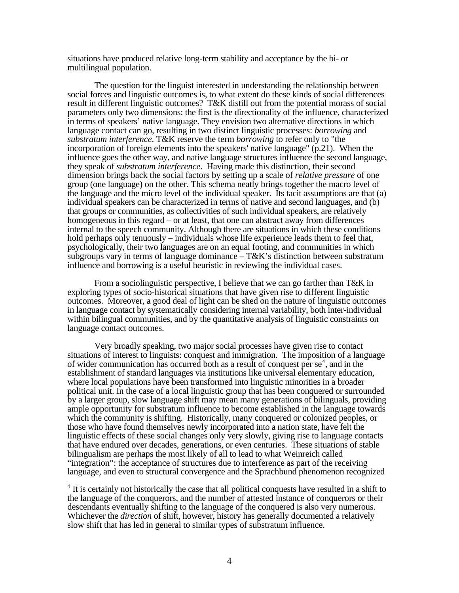situations have produced relative long-term stability and acceptance by the bi- or multilingual population.

The question for the linguist interested in understanding the relationship between social forces and linguistic outcomes is, to what extent do these kinds of social differences result in different linguistic outcomes? T&K distill out from the potential morass of social parameters only two dimensions: the first is the directionality of the influence, characterized in terms of speakers' native language. They envision two alternative directions in which language contact can go, resulting in two distinct linguistic processes: *borrowing* and *substratum interference*. T&K reserve the term *borrowing* to refer only to "the incorporation of foreign elements into the speakers' native language" (p.21). When the influence goes the other way, and native language structures influence the second language, they speak of *substratum interference*. Having made this distinction, their second dimension brings back the social factors by setting up a scale of *relative pressure* of one group (one language) on the other. This schema neatly brings together the macro level of the language and the micro level of the individual speaker. Its tacit assumptions are that (a) individual speakers can be characterized in terms of native and second languages, and (b) that groups or communities, as collectivities of such individual speakers, are relatively homogeneous in this regard – or at least, that one can abstract away from differences internal to the speech community. Although there are situations in which these conditions hold perhaps only tenuously – individuals whose life experience leads them to feel that, psychologically, their two languages are on an equal footing, and communities in which subgroups vary in terms of language dominance  $-T\&K$ 's distinction between substratum influence and borrowing is a useful heuristic in reviewing the individual cases.

From a sociolinguistic perspective, I believe that we can go farther than T&K in exploring types of socio-historical situations that have given rise to different linguistic outcomes. Moreover, a good deal of light can be shed on the nature of linguistic outcomes in language contact by systematically considering internal variability, both inter-individual within bilingual communities, and by the quantitative analysis of linguistic constraints on language contact outcomes.

Very broadly speaking, two major social processes have given rise to contact situations of interest to linguists: conquest and immigration. The imposition of a language of wider communication has occurred both as a result of conquest per  $se<sup>4</sup>$ , and in the establishment of standard languages via institutions like universal elementary education, where local populations have been transformed into linguistic minorities in a broader political unit. In the case of a local linguistic group that has been conquered or surrounded by a larger group, slow language shift may mean many generations of bilinguals, providing ample opportunity for substratum influence to become established in the language towards which the community is shifting. Historically, many conquered or colonized peoples, or those who have found themselves newly incorporated into a nation state, have felt the linguistic effects of these social changes only very slowly, giving rise to language contacts that have endured over decades, generations, or even centuries. These situations of stable bilingualism are perhaps the most likely of all to lead to what Weinreich called "integration": the acceptance of structures due to interference as part of the receiving language, and even to structural convergence and the Sprachbund phenomenon recognized  $\overline{a}$ 

<sup>&</sup>lt;sup>4</sup> It is certainly not historically the case that all political conquests have resulted in a shift to the language of the conquerors, and the number of attested instance of conquerors or their descendants eventually shifting to the language of the conquered is also very numerous. Whichever the *direction* of shift, however, history has generally documented a relatively slow shift that has led in general to similar types of substratum influence.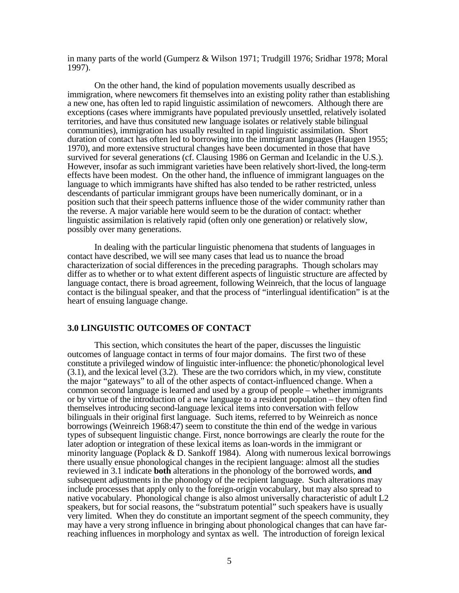in many parts of the world (Gumperz & Wilson 1971; Trudgill 1976; Sridhar 1978; Moral 1997).

On the other hand, the kind of population movements usually described as immigration, where newcomers fit themselves into an existing polity rather than establishing a new one, has often led to rapid linguistic assimilation of newcomers. Although there are exceptions (cases where immigrants have populated previously unsettled, relatively isolated territories, and have thus consituted new language isolates or relatively stable bilingual communities), immigration has usually resulted in rapid linguistic assimilation. Short duration of contact has often led to borrowing into the immigrant languages (Haugen 1955; 1970), and more extensive structural changes have been documented in those that have survived for several generations (cf. Clausing 1986 on German and Icelandic in the U.S.). However, insofar as such immigrant varieties have been relatively short-lived, the long-term effects have been modest. On the other hand, the influence of immigrant languages on the language to which immigrants have shifted has also tended to be rather restricted, unless descendants of particular immigrant groups have been numerically dominant, or in a position such that their speech patterns influence those of the wider community rather than the reverse. A major variable here would seem to be the duration of contact: whether linguistic assimilation is relatively rapid (often only one generation) or relatively slow, possibly over many generations.

In dealing with the particular linguistic phenomena that students of languages in contact have described, we will see many cases that lead us to nuance the broad characterization of social differences in the preceding paragraphs. Though scholars may differ as to whether or to what extent different aspects of linguistic structure are affected by language contact, there is broad agreement, following Weinreich, that the locus of language contact is the bilingual speaker, and that the process of "interlingual identification" is at the heart of ensuing language change.

#### **3.0 LINGUISTIC OUTCOMES OF CONTACT**

This section, which consitutes the heart of the paper, discusses the linguistic outcomes of language contact in terms of four major domains. The first two of these constitute a privileged window of linguistic inter-influence: the phonetic/phonological level (3.1), and the lexical level (3.2). These are the two corridors which, in my view, constitute the major "gateways" to all of the other aspects of contact-influenced change. When a common second language is learned and used by a group of people – whether immigrants or by virtue of the introduction of a new language to a resident population – they often find themselves introducing second-language lexical items into conversation with fellow bilinguals in their original first language. Such items, referred to by Weinreich as nonce borrowings (Weinreich 1968:47) seem to constitute the thin end of the wedge in various types of subsequent linguistic change. First, nonce borrowings are clearly the route for the later adoption or integration of these lexical items as loan-words in the immigrant or minority language (Poplack & D. Sankoff 1984). Along with numerous lexical borrowings there usually ensue phonological changes in the recipient language: almost all the studies reviewed in 3.1 indicate **both** alterations in the phonology of the borrowed words, **and** subsequent adjustments in the phonology of the recipient language. Such alterations may include processes that apply only to the foreign-origin vocabulary, but may also spread to native vocabulary. Phonological change is also almost universally characteristic of adult L2 speakers, but for social reasons, the "substratum potential" such speakers have is usually very limited. When they do constitute an important segment of the speech community, they may have a very strong influence in bringing about phonological changes that can have farreaching influences in morphology and syntax as well. The introduction of foreign lexical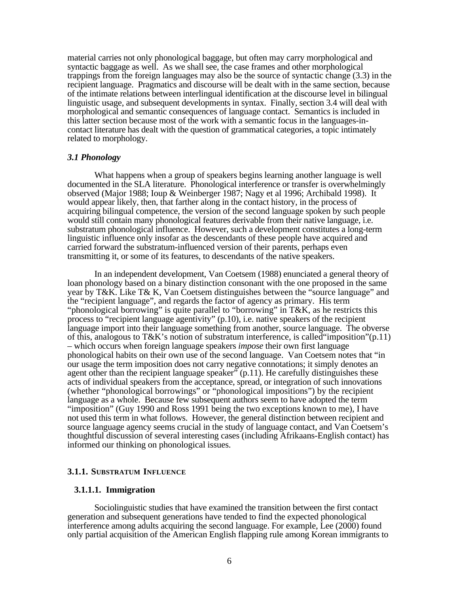material carries not only phonological baggage, but often may carry morphological and syntactic baggage as well. As we shall see, the case frames and other morphological trappings from the foreign languages may also be the source of syntactic change (3.3) in the recipient language. Pragmatics and discourse will be dealt with in the same section, because of the intimate relations between interlingual identification at the discourse level in bilingual linguistic usage, and subsequent developments in syntax. Finally, section 3.4 will deal with morphological and semantic consequences of language contact. Semantics is included in this latter section because most of the work with a semantic focus in the languages-incontact literature has dealt with the question of grammatical categories, a topic intimately related to morphology.

## *3.1 Phonology*

What happens when a group of speakers begins learning another language is well documented in the SLA literature. Phonological interference or transfer is overwhelmingly observed (Major 1988; Ioup & Weinberger 1987; Nagy et al 1996; Archibald 1998). It would appear likely, then, that farther along in the contact history, in the process of acquiring bilingual competence, the version of the second language spoken by such people would still contain many phonological features derivable from their native language, i.e. substratum phonological influence. However, such a development constitutes a long-term linguistic influence only insofar as the descendants of these people have acquired and carried forward the substratum-influenced version of their parents, perhaps even transmitting it, or some of its features, to descendants of the native speakers.

In an independent development, Van Coetsem (1988) enunciated a general theory of loan phonology based on a binary distinction consonant with the one proposed in the same year by T&K. Like T& K, Van Coetsem distinguishes between the "source language" and the "recipient language", and regards the factor of agency as primary. His term "phonological borrowing" is quite parallel to "borrowing" in T&K, as he restricts this process to "recipient language agentivity" (p.10), i.e. native speakers of the recipient language import into their language something from another, source language. The obverse of this, analogous to T&K's notion of substratum interference, is called"imposition"(p.11) – which occurs when foreign language speakers *impose* their own first language phonological habits on their own use of the second language. Van Coetsem notes that "in our usage the term imposition does not carry negative connotations; it simply denotes an agent other than the recipient language speaker"  $(p.11)$ . He carefully distinguishes these acts of individual speakers from the acceptance, spread, or integration of such innovations (whether "phonological borrowings" or "phonological impositions") by the recipient language as a whole. Because few subsequent authors seem to have adopted the term "imposition" (Guy 1990 and Ross 1991 being the two exceptions known to me), I have not used this term in what follows. However, the general distinction between recipient and source language agency seems crucial in the study of language contact, and Van Coetsem's thoughtful discussion of several interesting cases (including Afrikaans-English contact) has informed our thinking on phonological issues.

# **3.1.1. SUBSTRATUM INFLUENCE**

## **3.1.1.1. Immigration**

Sociolinguistic studies that have examined the transition between the first contact generation and subsequent generations have tended to find the expected phonological interference among adults acquiring the second language. For example, Lee (2000) found only partial acquisition of the American English flapping rule among Korean immigrants to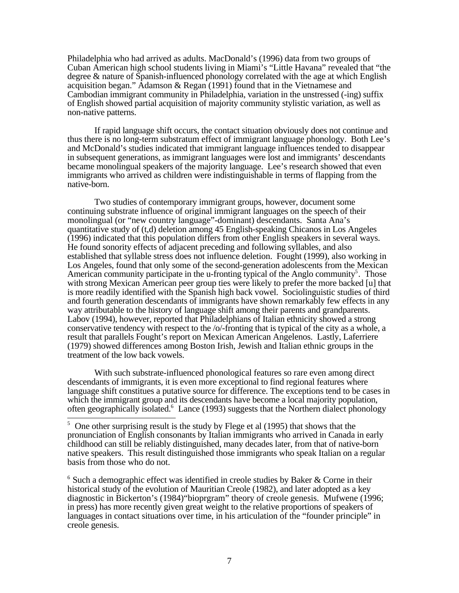Philadelphia who had arrived as adults. MacDonald's (1996) data from two groups of Cuban American high school students living in Miami's "Little Havana" revealed that "the degree & nature of Spanish-influenced phonology correlated with the age at which English acquisition began." Adamson & Regan (1991) found that in the Vietnamese and Cambodian immigrant community in Philadelphia, variation in the unstressed (-ing) suffix of English showed partial acquisition of majority community stylistic variation, as well as non-native patterns.

 If rapid language shift occurs, the contact situation obviously does not continue and thus there is no long-term substratum effect of immigrant language phonology. Both Lee's and McDonald's studies indicated that immigrant language influences tended to disappear in subsequent generations, as immigrant languages were lost and immigrants' descendants became monolingual speakers of the majority language. Lee's research showed that even immigrants who arrived as children were indistinguishable in terms of flapping from the native-born.

Two studies of contemporary immigrant groups, however, document some continuing substrate influence of original immigrant languages on the speech of their monolingual (or "new country language"-dominant) descendants. Santa Ana's quantitative study of (t,d) deletion among 45 English-speaking Chicanos in Los Angeles (1996) indicated that this population differs from other English speakers in several ways. He found sonority effects of adjacent preceding and following syllables, and also established that syllable stress does not influence deletion. Fought (1999), also working in Los Angeles, found that only some of the second-generation adolescents from the Mexican American community participate in the u-fronting typical of the Anglo community<sup>5</sup>. Those with strong Mexican American peer group ties were likely to prefer the more backed [u] that is more readily identified with the Spanish high back vowel. Sociolinguistic studies of third and fourth generation descendants of immigrants have shown remarkably few effects in any way attributable to the history of language shift among their parents and grandparents. Labov (1994), however, reported that Philadelphians of Italian ethnicity showed a strong conservative tendency with respect to the /o/-fronting that is typical of the city as a whole, a result that parallels Fought's report on Mexican American Angelenos. Lastly, Laferriere (1979) showed differences among Boston Irish, Jewish and Italian ethnic groups in the treatment of the low back vowels.

With such substrate-influenced phonological features so rare even among direct descendants of immigrants, it is even more exceptional to find regional features where language shift constitues a putative source for difference. The exceptions tend to be cases in which the immigrant group and its descendants have become a local majority population, often geographically isolated.<sup>6</sup> Lance (1993) suggests that the Northern dialect phonology

<sup>&</sup>lt;sup>5</sup> One other surprising result is the study by Flege et al (1995) that shows that the pronunciation of English consonants by Italian immigrants who arrived in Canada in early childhood can still be reliably distinguished, many decades later, from that of native-born native speakers. This result distinguished those immigrants who speak Italian on a regular basis from those who do not.

<sup>&</sup>lt;sup>6</sup> Such a demographic effect was identified in creole studies by Baker & Corne in their historical study of the evolution of Mauritian Creole (1982), and later adopted as a key diagnostic in Bickerton's (1984)"bioprgram" theory of creole genesis. Mufwene (1996; in press) has more recently given great weight to the relative proportions of speakers of languages in contact situations over time, in his articulation of the "founder principle" in creole genesis.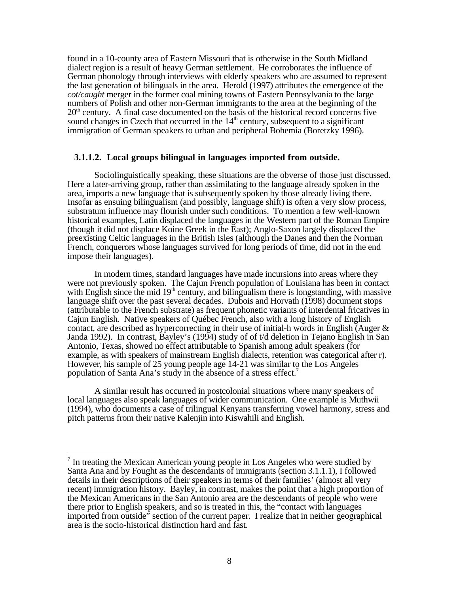found in a 10-county area of Eastern Missouri that is otherwise in the South Midland dialect region is a result of heavy German settlement. He corroborates the influence of German phonology through interviews with elderly speakers who are assumed to represent the last generation of bilinguals in the area. Herold (1997) attributes the emergence of the *cot/caught* merger in the former coal mining towns of Eastern Pennsylvania to the large numbers of Polish and other non-German immigrants to the area at the beginning of the  $20<sup>th</sup>$  century. A final case documented on the basis of the historical record concerns five sound changes in Czech that occurred in the  $14<sup>th</sup>$  century, subsequent to a significant immigration of German speakers to urban and peripheral Bohemia (Boretzky 1996).

## **3.1.1.2. Local groups bilingual in languages imported from outside.**

Sociolinguistically speaking, these situations are the obverse of those just discussed. Here a later-arriving group, rather than assimilating to the language already spoken in the area, imports a new language that is subsequently spoken by those already living there. Insofar as ensuing bilingualism (and possibly, language shift) is often a very slow process, substratum influence may flourish under such conditions. To mention a few well-known historical examples, Latin displaced the languages in the Western part of the Roman Empire (though it did not displace Koine Greek in the East); Anglo-Saxon largely displaced the preexisting Celtic languages in the British Isles (although the Danes and then the Norman French, conquerors whose languages survived for long periods of time, did not in the end impose their languages).

In modern times, standard languages have made incursions into areas where they were not previously spoken. The Cajun French population of Louisiana has been in contact with English since the mid  $19<sup>th</sup>$  century, and bilingualism there is longstanding, with massive language shift over the past several decades. Dubois and Horvath (1998) document stops (attributable to the French substrate) as frequent phonetic variants of interdental fricatives in Cajun English. Native speakers of Québec French, also with a long history of English contact, are described as hypercorrecting in their use of initial-h words in English (Auger  $\&$ Janda 1992). In contrast, Bayley's (1994) study of of t/d deletion in Tejano English in San Antonio, Texas, showed no effect attributable to Spanish among adult speakers (for example, as with speakers of mainstream English dialects, retention was categorical after r). However, his sample of 25 young people age 14-21 was similar to the Los Angeles population of Santa Ana's study in the absence of a stress effect.<sup>7</sup>

A similar result has occurred in postcolonial situations where many speakers of local languages also speak languages of wider communication. One example is Muthwii (1994), who documents a case of trilingual Kenyans transferring vowel harmony, stress and pitch patterns from their native Kalenjin into Kiswahili and English.

<sup>&</sup>lt;sup>7</sup> In treating the Mexican American young people in Los Angeles who were studied by Santa Ana and by Fought as the descendants of immigrants (section 3.1.1.1), I followed details in their descriptions of their speakers in terms of their families' (almost all very recent) immigration history. Bayley, in contrast, makes the point that a high proportion of the Mexican Americans in the San Antonio area are the descendants of people who were there prior to English speakers, and so is treated in this, the "contact with languages imported from outside" section of the current paper. I realize that in neither geographical area is the socio-historical distinction hard and fast.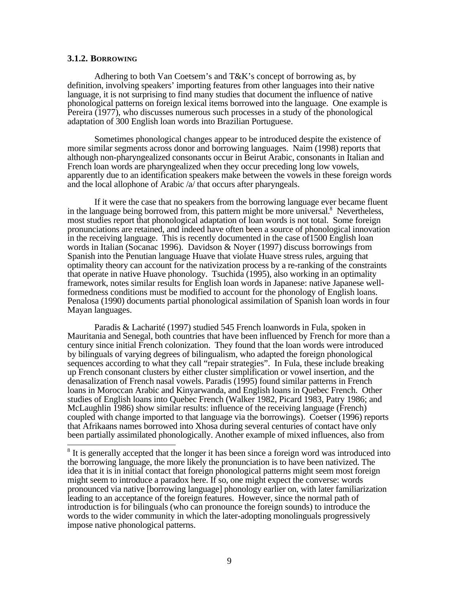## **3.1.2. BORROWING**

Adhering to both Van Coetsem's and T&K's concept of borrowing as, by definition, involving speakers' importing features from other languages into their native language, it is not surprising to find many studies that document the influence of native phonological patterns on foreign lexical items borrowed into the language. One example is Pereira (1977), who discusses numerous such processes in a study of the phonological adaptation of 300 English loan words into Brazilian Portuguese.

Sometimes phonological changes appear to be introduced despite the existence of more similar segments across donor and borrowing languages. Naim (1998) reports that although non-pharyngealized consonants occur in Beirut Arabic, consonants in Italian and French loan words are pharyngealized when they occur preceding long low vowels, apparently due to an identification speakers make between the vowels in these foreign words and the local allophone of Arabic /a/ that occurs after pharyngeals.

If it were the case that no speakers from the borrowing language ever became fluent in the language being borrowed from, this pattern might be more universal.<sup>8</sup> Nevertheless, most studies report that phonological adaptation of loan words is not total. Some foreign pronunciations are retained, and indeed have often been a source of phonological innovation in the receiving language. This is recently documented in the case of1500 English loan words in Italian (Socanac 1996). Davidson & Noyer (1997) discuss borrowings from Spanish into the Penutian language Huave that violate Huave stress rules, arguing that optimality theory can account for the nativization process by a re-ranking of the constraints that operate in native Huave phonology. Tsuchida (1995), also working in an optimality framework, notes similar results for English loan words in Japanese: native Japanese wellformedness conditions must be modified to account for the phonology of English loans. Penalosa (1990) documents partial phonological assimilation of Spanish loan words in four Mayan languages.

Paradis & Lacharité (1997) studied 545 French loanwords in Fula, spoken in Mauritania and Senegal, both countries that have been influenced by French for more than a century since initial French colonization. They found that the loan words were introduced by bilinguals of varying degrees of bilingualism, who adapted the foreign phonological sequences according to what they call "repair strategies". In Fula, these include breaking up French consonant clusters by either cluster simplification or vowel insertion, and the denasalization of French nasal vowels. Paradis (1995) found similar patterns in French loans in Moroccan Arabic and Kinyarwanda, and English loans in Quebec French. Other studies of English loans into Quebec French (Walker 1982, Picard 1983, Patry 1986; and McLaughlin 1986) show similar results: influence of the receiving language (French) coupled with change imported to that language via the borrowings). Coetser (1996) reports that Afrikaans names borrowed into Xhosa during several centuries of contact have only been partially assimilated phonologically. Another example of mixed influences, also from

 $\overline{1}$ <sup>8</sup> It is generally accepted that the longer it has been since a foreign word was introduced into the borrowing language, the more likely the pronunciation is to have been nativized. The idea that it is in initial contact that foreign phonological patterns might seem most foreign might seem to introduce a paradox here. If so, one might expect the converse: words pronounced via native [borrowing language] phonology earlier on, with later familiarization leading to an acceptance of the foreign features. However, since the normal path of introduction is for bilinguals (who can pronounce the foreign sounds) to introduce the words to the wider community in which the later-adopting monolinguals progressively impose native phonological patterns.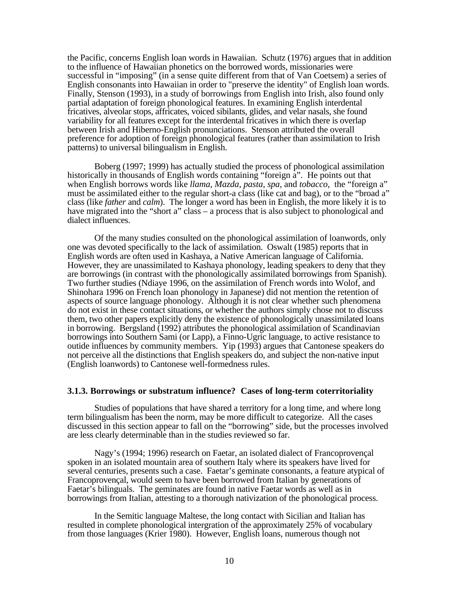the Pacific, concerns English loan words in Hawaiian. Schutz (1976) argues that in addition to the influence of Hawaiian phonetics on the borrowed words, missionaries were successful in "imposing" (in a sense quite different from that of Van Coetsem) a series of English consonants into Hawaiian in order to "preserve the identity" of English loan words. Finally, Stenson (1993), in a study of borrowings from English into Irish, also found only partial adaptation of foreign phonological features. In examining English interdental fricatives, alveolar stops, affricates, voiced sibilants, glides, and velar nasals, she found variability for all features except for the interdental fricatives in which there is overlap between Irish and Hiberno-English pronunciations. Stenson attributed the overall preference for adoption of foreign phonological features (rather than assimilation to Irish patterns) to universal bilingualism in English.

Boberg (1997; 1999) has actually studied the process of phonological assimilation historically in thousands of English words containing "foreign a". He points out that when English borrows words like *llama, Mazda, pasta, spa*, and *tobacco*, the "foreign a" must be assimilated either to the regular short-a class (like cat and bag), or to the "broad a" class (like *father* and *calm*). The longer a word has been in English, the more likely it is to have migrated into the "short a" class – a process that is also subject to phonological and dialect influences.

Of the many studies consulted on the phonological assimilation of loanwords, only one was devoted specifically to the lack of assimilation. Oswalt (1985) reports that in English words are often used in Kashaya, a Native American language of California. However, they are unassimilated to Kashaya phonology, leading speakers to deny that they are borrowings (in contrast with the phonologically assimilated borrowings from Spanish). Two further studies (Ndiaye 1996, on the assimilation of French words into Wolof, and Shinohara 1996 on French loan phonology in Japanese) did not mention the retention of aspects of source language phonology. Although it is not clear whether such phenomena do not exist in these contact situations, or whether the authors simply chose not to discuss them, two other papers explicitly deny the existence of phonologically unassimilated loans in borrowing. Bergsland (1992) attributes the phonological assimilation of Scandinavian borrowings into Southern Sami (or Lapp), a Finno-Ugric language, to active resistance to outide influences by community members. Yip (1993) argues that Cantonese speakers do not perceive all the distinctions that English speakers do, and subject the non-native input (English loanwords) to Cantonese well-formedness rules.

## **3.1.3. Borrowings or substratum influence? Cases of long-term coterritoriality**

Studies of populations that have shared a territory for a long time, and where long term bilingualism has been the norm, may be more difficult to categorize. All the cases discussed in this section appear to fall on the "borrowing" side, but the processes involved are less clearly determinable than in the studies reviewed so far.

Nagy's (1994; 1996) research on Faetar, an isolated dialect of Francoprovençal spoken in an isolated mountain area of southern Italy where its speakers have lived for several centuries, presents such a case. Faetar's geminate consonants, a feature atypical of Francoprovençal, would seem to have been borrowed from Italian by generations of Faetar's bilinguals. The geminates are found in native Faetar words as well as in borrowings from Italian, attesting to a thorough nativization of the phonological process.

 In the Semitic language Maltese, the long contact with Sicilian and Italian has resulted in complete phonological intergration of the approximately 25% of vocabulary from those languages (Krier 1980). However, English loans, numerous though not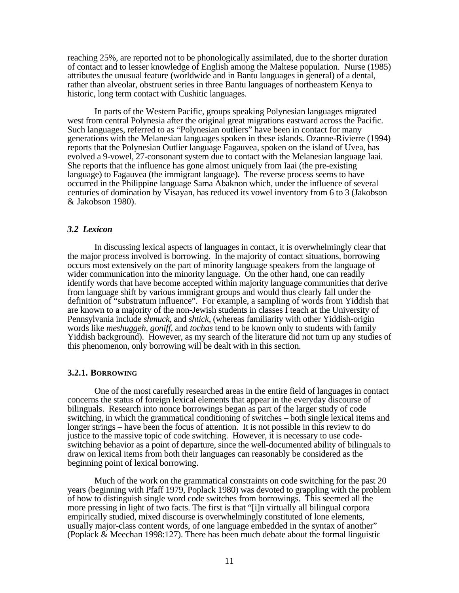reaching 25%, are reported not to be phonologically assimilated, due to the shorter duration of contact and to lesser knowledge of English among the Maltese population. Nurse (1985) attributes the unusual feature (worldwide and in Bantu languages in general) of a dental, rather than alveolar, obstruent series in three Bantu languages of northeastern Kenya to historic, long term contact with Cushitic languages.

In parts of the Western Pacific, groups speaking Polynesian languages migrated west from central Polynesia after the original great migrations eastward across the Pacific. Such languages, referred to as "Polynesian outliers" have been in contact for many generations with the Melanesian languages spoken in these islands. Ozanne-Rivierre (1994) reports that the Polynesian Outlier language Fagauvea, spoken on the island of Uvea, has evolved a 9-vowel, 27-consonant system due to contact with the Melanesian language Iaai. She reports that the influence has gone almost uniquely from Iaai (the pre-existing language) to Fagauvea (the immigrant language). The reverse process seems to have occurred in the Philippine language Sama Abaknon which, under the influence of several centuries of domination by Visayan, has reduced its vowel inventory from 6 to 3 (Jakobson & Jakobson 1980).

## *3.2 Lexicon*

In discussing lexical aspects of languages in contact, it is overwhelmingly clear that the major process involved is borrowing. In the majority of contact situations, borrowing occurs most extensively on the part of minority language speakers from the language of wider communication into the minority language. On the other hand, one can readily identify words that have become accepted within majority language communities that derive from language shift by various immigrant groups and would thus clearly fall under the definition of "substratum influence". For example, a sampling of words from Yiddish that are known to a majority of the non-Jewish students in classes I teach at the University of Pennsylvania include *shmuck*, and *shtick*, (whereas familiarity with other Yiddish-origin words like *meshuggeh*, *goniff*, and *tochas* tend to be known only to students with family Yiddish background). However, as my search of the literature did not turn up any studies of this phenomenon, only borrowing will be dealt with in this section.

# **3.2.1. BORROWING**

One of the most carefully researched areas in the entire field of languages in contact concerns the status of foreign lexical elements that appear in the everyday discourse of bilinguals. Research into nonce borrowings began as part of the larger study of code switching, in which the grammatical conditioning of switches – both single lexical items and longer strings – have been the focus of attention. It is not possible in this review to do justice to the massive topic of code switching. However, it is necessary to use codeswitching behavior as a point of departure, since the well-documented ability of bilinguals to draw on lexical items from both their languages can reasonably be considered as the beginning point of lexical borrowing.

Much of the work on the grammatical constraints on code switching for the past 20 years (beginning with Pfaff 1979, Poplack 1980) was devoted to grappling with the problem of how to distinguish single word code switches from borrowings. This seemed all the more pressing in light of two facts. The first is that "[i]n virtually all bilingual corpora empirically studied, mixed discourse is overwhelmingly constituted of lone elements, usually major-class content words, of one language embedded in the syntax of another" (Poplack & Meechan 1998:127). There has been much debate about the formal linguistic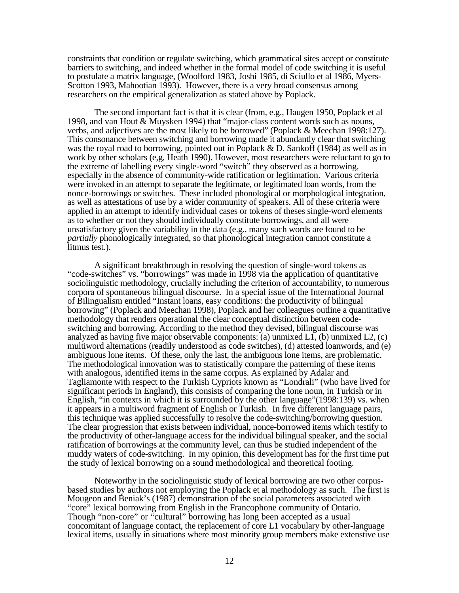constraints that condition or regulate switching, which grammatical sites accept or constitute barriers to switching, and indeed whether in the formal model of code switching it is useful to postulate a matrix language, (Woolford 1983, Joshi 1985, di Sciullo et al 1986, Myers-Scotton 1993, Mahootian 1993). However, there is a very broad consensus among researchers on the empirical generalization as stated above by Poplack.

The second important fact is that it is clear (from, e.g., Haugen 1950, Poplack et al 1998, and van Hout & Muysken 1994) that "major-class content words such as nouns, verbs, and adjectives are the most likely to be borrowed" (Poplack & Meechan 1998:127). This consonance between switching and borrowing made it abundantly clear that switching was the royal road to borrowing, pointed out in Poplack  $& D$ . Sankoff (1984) as well as in work by other scholars (e,g, Heath 1990). However, most researchers were reluctant to go to the extreme of labelling every single-word "switch" they observed as a borrowing, especially in the absence of community-wide ratification or legitimation. Various criteria were invoked in an attempt to separate the legitimate, or legitimated loan words, from the nonce-borrowings or switches. These included phonological or morphological integration, as well as attestations of use by a wider community of speakers. All of these criteria were applied in an attempt to identify individual cases or tokens of theses single-word elements as to whether or not they should individually constitute borrowings, and all were unsatisfactory given the variability in the data (e.g., many such words are found to be *partially* phonologically integrated, so that phonological integration cannot constitute a litmus test.).

A significant breakthrough in resolving the question of single-word tokens as "code-switches" vs. "borrowings" was made in 1998 via the application of quantitative sociolinguistic methodology, crucially including the criterion of accountability, to numerous corpora of spontaneous bilingual discourse. In a special issue of the International Journal of Bilingualism entitled "Instant loans, easy conditions: the productivity of bilingual borrowing" (Poplack and Meechan 1998), Poplack and her colleagues outline a quantitative methodology that renders operational the clear conceptual distinction between codeswitching and borrowing. According to the method they devised, bilingual discourse was analyzed as having five major observable components: (a) unmixed  $L1$ , (b) unmixed  $L2$ , (c) multiword alternations (readily understood as code switches), (d) attested loanwords, and (e) ambiguous lone items. Of these, only the last, the ambiguous lone items, are problematic. The methodological innovation was to statistically compare the patterning of these items with analogous, identified items in the same corpus. As explained by Adalar and Tagliamonte with respect to the Turkish Cypriots known as "Londrali" (who have lived for significant periods in England), this consists of comparing the lone noun, in Turkish or in English, "in contexts in which it is surrounded by the other language"(1998:139) vs. when it appears in a multiword fragment of English or Turkish. In five different language pairs, this technique was applied successfully to resolve the code-switching/borrowing question. The clear progression that exists between individual, nonce-borrowed items which testify to the productivity of other-language access for the individual bilingual speaker, and the social ratification of borrowings at the community level, can thus be studied independent of the muddy waters of code-switching. In my opinion, this development has for the first time put the study of lexical borrowing on a sound methodological and theoretical footing.

Noteworthy in the sociolinguistic study of lexical borrowing are two other corpusbased studies by authors not employing the Poplack et al methodology as such. The first is Mougeon and Beniak's (1987) demonstration of the social parameters associated with "core" lexical borrowing from English in the Francophone community of Ontario. Though "non-core" or "cultural" borrowing has long been accepted as a usual concomitant of language contact, the replacement of core L1 vocabulary by other-language lexical items, usually in situations where most minority group members make extenstive use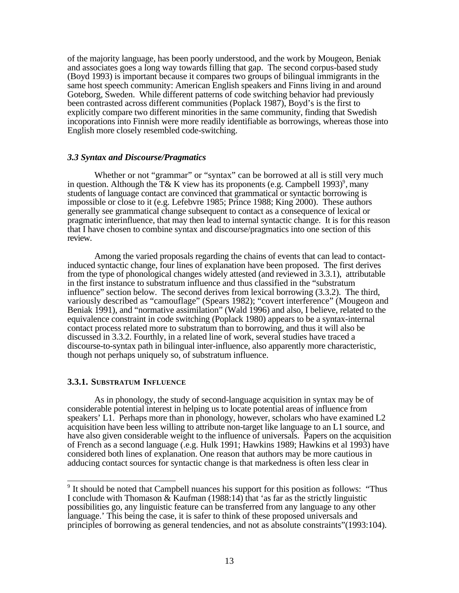of the majority language, has been poorly understood, and the work by Mougeon, Beniak and associates goes a long way towards filling that gap. The second corpus-based study (Boyd 1993) is important because it compares two groups of bilingual immigrants in the same host speech community: American English speakers and Finns living in and around Goteborg, Sweden. While different patterns of code switching behavior had previously been contrasted across different communities (Poplack 1987), Boyd's is the first to explicitly compare two different minorities in the same community, finding that Swedish incoporations into Finnish were more readily identifiable as borrowings, whereas those into English more closely resembled code-switching.

## *3.3 Syntax and Discourse/Pragmatics*

Whether or not "grammar" or "syntax" can be borrowed at all is still very much in question. Although the T& K view has its proponents (e.g. Campbell 1993)<sup>9</sup>, many students of language contact are convinced that grammatical or syntactic borrowing is impossible or close to it (e.g. Lefebvre 1985; Prince 1988; King 2000). These authors generally see grammatical change subsequent to contact as a consequence of lexical or pragmatic interinfluence, that may then lead to internal syntactic change. It is for this reason that I have chosen to combine syntax and discourse/pragmatics into one section of this review.

Among the varied proposals regarding the chains of events that can lead to contactinduced syntactic change, four lines of explanation have been proposed. The first derives from the type of phonological changes widely attested (and reviewed in 3.3.1), attributable in the first instance to substratum influence and thus classified in the "substratum influence" section below. The second derives from lexical borrowing (3.3.2). The third, variously described as "camouflage" (Spears 1982); "covert interference" (Mougeon and Beniak 1991), and "normative assimilation" (Wald 1996) and also, I believe, related to the equivalence constraint in code switching (Poplack 1980) appears to be a syntax-internal contact process related more to substratum than to borrowing, and thus it will also be discussed in 3.3.2. Fourthly, in a related line of work, several studies have traced a discourse-to-syntax path in bilingual inter-influence, also apparently more characteristic, though not perhaps uniquely so, of substratum influence.

# **3.3.1. SUBSTRATUM INFLUENCE**

 $\overline{1}$ 

As in phonology, the study of second-language acquisition in syntax may be of considerable potential interest in helping us to locate potential areas of influence from speakers' L1. Perhaps more than in phonology, however, scholars who have examined L2 acquisition have been less willing to attribute non-target like language to an L1 source, and have also given considerable weight to the influence of universals. Papers on the acquisition of French as a second language (.e.g. Hulk 1991; Hawkins 1989; Hawkins et al 1993) have considered both lines of explanation. One reason that authors may be more cautious in adducing contact sources for syntactic change is that markedness is often less clear in

<sup>&</sup>lt;sup>9</sup> It should be noted that Campbell nuances his support for this position as follows: "Thus I conclude with Thomason & Kaufman (1988:14) that 'as far as the strictly linguistic possibilities go, any linguistic feature can be transferred from any language to any other language.' This being the case, it is safer to think of these proposed universals and principles of borrowing as general tendencies, and not as absolute constraints"(1993:104).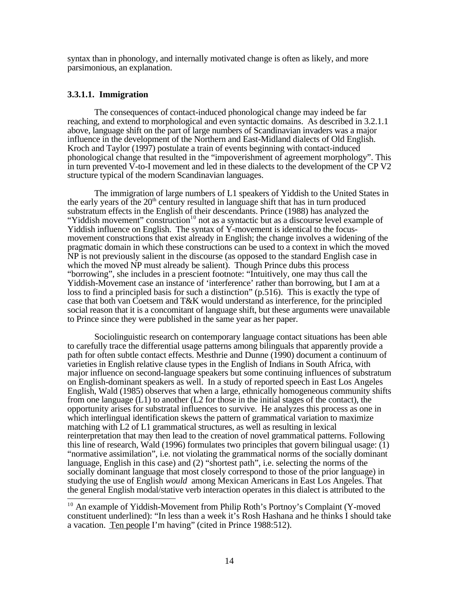syntax than in phonology, and internally motivated change is often as likely, and more parsimonious, an explanation.

# **3.3.1.1. Immigration**

The consequences of contact-induced phonological change may indeed be far reaching, and extend to morphological and even syntactic domains. As described in 3.2.1.1 above, language shift on the part of large numbers of Scandinavian invaders was a major influence in the development of the Northern and East-Midland dialects of Old English. Kroch and Taylor (1997) postulate a train of events beginning with contact-induced phonological change that resulted in the "impoverishment of agreement morphology". This in turn prevented V-to-I movement and led in these dialects to the development of the CP V2 structure typical of the modern Scandinavian languages.

The immigration of large numbers of L1 speakers of Yiddish to the United States in the early years of the  $20<sup>th</sup>$  century resulted in language shift that has in turn produced substratum effects in the English of their descendants. Prince (1988) has analyzed the "Yiddish movement" construction<sup>10</sup> not as a syntactic but as a discourse level example of Yiddish influence on English. The syntax of  $\check{Y}$ -movement is identical to the focusmovement constructions that exist already in English; the change involves a widening of the pragmatic domain in which these constructions can be used to a context in which the moved NP is not previously salient in the discourse (as opposed to the standard English case in which the moved NP must already be salient). Though Prince dubs this process "borrowing", she includes in a prescient footnote: "Intuitively, one may thus call the Yiddish-Movement case an instance of 'interference' rather than borrowing, but I am at a loss to find a principled basis for such a distinction" (p.516). This is exactly the type of case that both van Coetsem and T&K would understand as interference, for the principled social reason that it is a concomitant of language shift, but these arguments were unavailable to Prince since they were published in the same year as her paper.

Sociolinguistic research on contemporary language contact situations has been able to carefully trace the differential usage patterns among bilinguals that apparently provide a path for often subtle contact effects. Mesthrie and Dunne (1990) document a continuum of varieties in English relative clause types in the English of Indians in South Africa, with major influence on second-language speakers but some continuing influences of substratum on English-dominant speakers as well. In a study of reported speech in East Los Angeles English, Wald (1985) observes that when a large, ethnically homogeneous community shifts from one language  $(L1)$  to another  $(L2$  for those in the initial stages of the contact), the opportunity arises for substratal influences to survive. He analyzes this process as one in which interlingual identification skews the pattern of grammatical variation to maximize matching with L2 of L1 grammatical structures, as well as resulting in lexical reinterpretation that may then lead to the creation of novel grammatical patterns. Following this line of research, Wald (1996) formulates two principles that govern bilingual usage:  $(1)$ "normative assimilation", i.e. not violating the grammatical norms of the socially dominant language, English in this case) and (2) "shortest path", i.e. selecting the norms of the socially dominant language that most closely correspond to those of the prior language) in studying the use of English *would* among Mexican Americans in East Los Angeles. That the general English modal/stative verb interaction operates in this dialect is attributed to the

 $\overline{1}$ <sup>10</sup> An example of Yiddish-Movement from Philip Roth's Portnoy's Complaint (Y-moved constituent underlined): "In less than a week it's Rosh Hashana and he thinks I should take a vacation. Ten people I'm having" (cited in Prince 1988:512).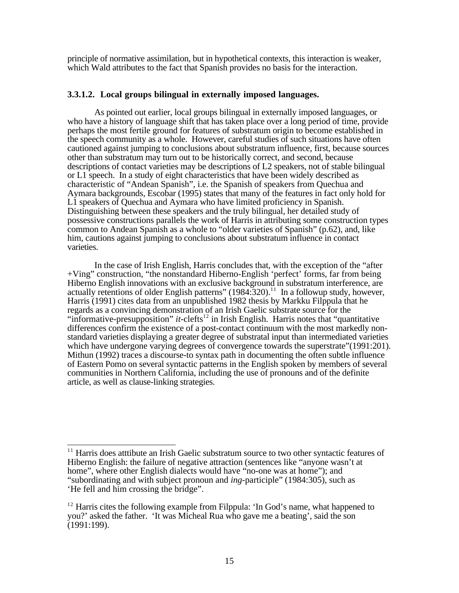principle of normative assimilation, but in hypothetical contexts, this interaction is weaker, which Wald attributes to the fact that Spanish provides no basis for the interaction.

## **3.3.1.2. Local groups bilingual in externally imposed languages.**

As pointed out earlier, local groups bilingual in externally imposed languages, or who have a history of language shift that has taken place over a long period of time, provide perhaps the most fertile ground for features of substratum origin to become established in the speech community as a whole. However, careful studies of such situations have often cautioned against jumping to conclusions about substratum influence, first, because sources other than substratum may turn out to be historically correct, and second, because descriptions of contact varieties may be descriptions of L2 speakers, not of stable bilingual or L1 speech. In a study of eight characteristics that have been widely described as characteristic of "Andean Spanish", i.e. the Spanish of speakers from Quechua and Aymara backgrounds, Escobar (1995) states that many of the features in fact only hold for L1 speakers of Quechua and Aymara who have limited proficiency in Spanish. Distinguishing between these speakers and the truly bilingual, her detailed study of possessive constructions parallels the work of Harris in attributing some construction types common to Andean Spanish as a whole to "older varieties of Spanish" (p.62), and, like him, cautions against jumping to conclusions about substratum influence in contact varieties.

In the case of Irish English, Harris concludes that, with the exception of the "after +Ving" construction, "the nonstandard Hiberno-English 'perfect' forms, far from being Hiberno English innovations with an exclusive background in substratum interference, are actually retentions of older English patterns" (1984:320).<sup>11</sup> In a followup study, however, Harris (1991) cites data from an unpublished 1982 thesis by Markku Filppula that he regards as a convincing demonstration of an Irish Gaelic substrate source for the "informative-presupposition"  $it$ -clefts<sup>12</sup> in Irish English. Harris notes that "quantitative" differences confirm the existence of a post-contact continuum with the most markedly nonstandard varieties displaying a greater degree of substratal input than intermediated varieties which have undergone varying degrees of convergence towards the superstrate" (1991:201). Mithun (1992) traces a discourse-to syntax path in documenting the often subtle influence of Eastern Pomo on several syntactic patterns in the English spoken by members of several communities in Northern California, including the use of pronouns and of the definite article, as well as clause-linking strategies.

 $\overline{1}$ <sup>11</sup> Harris does atttibute an Irish Gaelic substratum source to two other syntactic features of Hiberno English: the failure of negative attraction (sentences like "anyone wasn't at home", where other English dialects would have "no-one was at home"); and "subordinating and with subject pronoun and *ing*-participle" (1984:305), such as 'He fell and him crossing the bridge".

<sup>&</sup>lt;sup>12</sup> Harris cites the following example from Filppula: 'In God's name, what happened to you?' asked the father. 'It was Micheal Rua who gave me a beating', said the son (1991:199).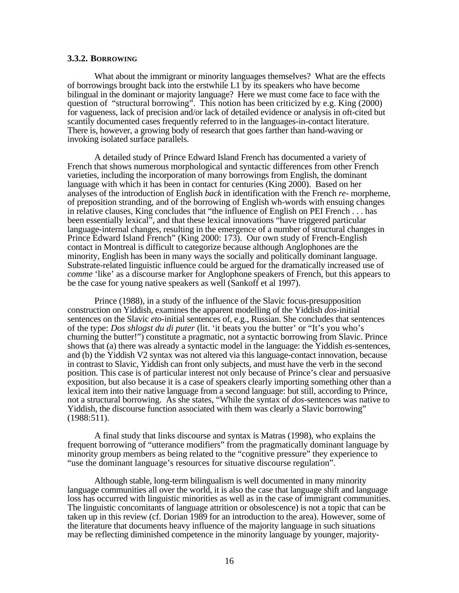## **3.3.2. BORROWING**

What about the immigrant or minority languages themselves? What are the effects of borrowings brought back into the erstwhile L1 by its speakers who have become bilingual in the dominant or majority language? Here we must come face to face with the question of "structural borrowing". This notion has been criticized by e.g. King (2000) for vagueness, lack of precision and/or lack of detailed evidence or analysis in oft-cited but scantily documented cases frequently referred to in the languages-in-contact literature. There is, however, a growing body of research that goes farther than hand-waving or invoking isolated surface parallels.

A detailed study of Prince Edward Island French has documented a variety of French that shows numerous morphological and syntactic differences from other French varieties, including the incorporation of many borrowings from English, the dominant language with which it has been in contact for centuries (King 2000). Based on her analyses of the introduction of English *back* in identification with the French *re*- morpheme, of preposition stranding, and of the borrowing of English wh-words with ensuing changes in relative clauses, King concludes that "the influence of English on PEI French . . . has been essentially lexical", and that these lexical innovations "have triggered particular language-internal changes, resulting in the emergence of a number of structural changes in Prince Edward Island French" (King 2000: 173). Our own study of French-English contact in Montreal is difficult to categorize because although Anglophones are the minority, English has been in many ways the socially and politically dominant language. Substrate-related linguistic influence could be argued for the dramatically increased use of *comme* 'like' as a discourse marker for Anglophone speakers of French, but this appears to be the case for young native speakers as well (Sankoff et al 1997).

Prince (1988), in a study of the influence of the Slavic focus-presupposition construction on Yiddish, examines the apparent modelling of the Yiddish *dos*-initial sentences on the Slavic *eto*-initial sentences of, e.g., Russian. She concludes that sentences of the type: *Dos shlogst du di puter* (lit. 'it beats you the butter' or "It's you who's churning the butter!") constitute a pragmatic, not a syntactic borrowing from Slavic. Prince shows that (a) there was already a syntactic model in the language: the Yiddish *es*-sentences, and (b) the Yiddish V2 syntax was not altered via this language-contact innovation, because in contrast to Slavic, Yiddish can front only subjects, and must have the verb in the second position. This case is of particular interest not only because of Prince's clear and persuasive exposition, but also because it is a case of speakers clearly importing something other than a lexical item into their native language from a second language: but still, according to Prince, not a structural borrowing. As she states, "While the syntax of *dos*-sentences was native to Yiddish, the discourse function associated with them was clearly a Slavic borrowing" (1988:511).

A final study that links discourse and syntax is Matras (1998), who explains the frequent borrowing of "utterance modifiers" from the pragmatically dominant language by minority group members as being related to the "cognitive pressure" they experience to "use the dominant language's resources for situative discourse regulation".

Although stable, long-term bilingualism is well documented in many minority language communities all over the world, it is also the case that language shift and language loss has occurred with linguistic minorities as well as in the case of immigrant communities. The linguistic concomitants of language attrition or obsolescence) is not a topic that can be taken up in this review (cf. Dorian 1989 for an introduction to the area). However, some of the literature that documents heavy influence of the majority language in such situations may be reflecting diminished competence in the minority language by younger, majority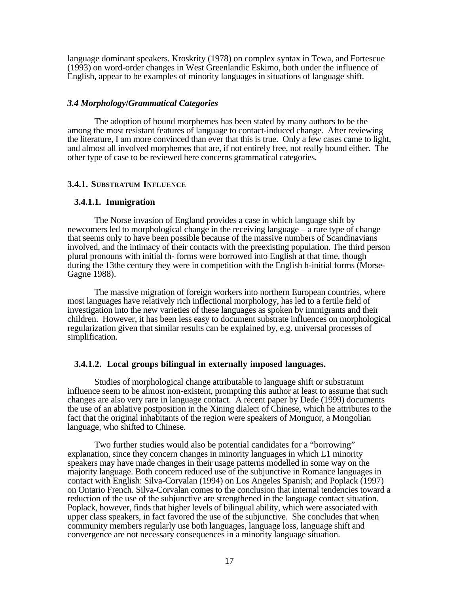language dominant speakers. Kroskrity (1978) on complex syntax in Tewa, and Fortescue (1993) on word-order changes in West Greenlandic Eskimo, both under the influence of English, appear to be examples of minority languages in situations of language shift.

## *3.4 Morphology***/***Grammatical Categories*

The adoption of bound morphemes has been stated by many authors to be the among the most resistant features of language to contact-induced change. After reviewing the literature, I am more convinced than ever that this is true. Only a few cases came to light, and almost all involved morphemes that are, if not entirely free, not really bound either. The other type of case to be reviewed here concerns grammatical categories.

# **3.4.1. SUBSTRATUM INFLUENCE**

# **3.4.1.1. Immigration**

The Norse invasion of England provides a case in which language shift by newcomers led to morphological change in the receiving language – a rare type of change that seems only to have been possible because of the massive numbers of Scandinavians involved, and the intimacy of their contacts with the preexisting population. The third person plural pronouns with initial th- forms were borrowed into English at that time, though during the 13the century they were in competition with the English h-initial forms (Morse-Gagne 1988).

The massive migration of foreign workers into northern European countries, where most languages have relatively rich inflectional morphology, has led to a fertile field of investigation into the new varieties of these languages as spoken by immigrants and their children. However, it has been less easy to document substrate influences on morphological regularization given that similar results can be explained by, e.g. universal processes of simplification.

## **3.4.1.2. Local groups bilingual in externally imposed languages.**

Studies of morphological change attributable to language shift or substratum influence seem to be almost non-existent, prompting this author at least to assume that such changes are also very rare in language contact. A recent paper by Dede (1999) documents the use of an ablative postposition in the Xining dialect of Chinese, which he attributes to the fact that the original inhabitants of the region were speakers of Monguor, a Mongolian language, who shifted to Chinese.

Two further studies would also be potential candidates for a "borrowing" explanation, since they concern changes in minority languages in which L1 minority speakers may have made changes in their usage patterns modelled in some way on the majority language. Both concern reduced use of the subjunctive in Romance languages in contact with English: Silva-Corvalan (1994) on Los Angeles Spanish; and Poplack (1997) on Ontario French. Silva-Corvalan comes to the conclusion that internal tendencies toward a reduction of the use of the subjunctive are strengthened in the language contact situation. Poplack, however, finds that higher levels of bilingual ability, which were associated with upper class speakers, in fact favored the use of the subjunctive. She concludes that when community members regularly use both languages, language loss, language shift and convergence are not necessary consequences in a minority language situation.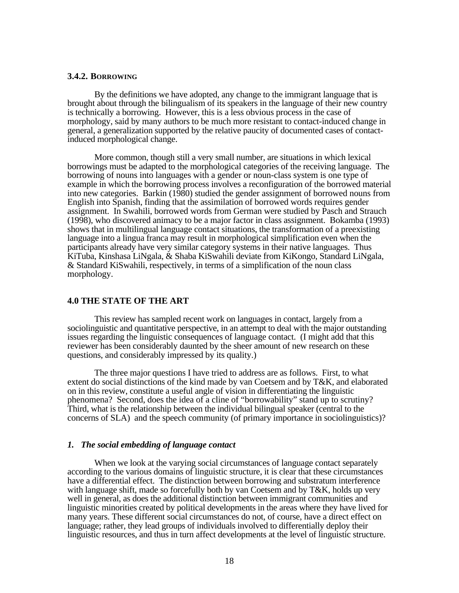#### **3.4.2. BORROWING**

By the definitions we have adopted, any change to the immigrant language that is brought about through the bilingualism of its speakers in the language of their new country is technically a borrowing. However, this is a less obvious process in the case of morphology, said by many authors to be much more resistant to contact-induced change in general, a generalization supported by the relative paucity of documented cases of contactinduced morphological change.

 More common, though still a very small number, are situations in which lexical borrowings must be adapted to the morphological categories of the receiving language. The borrowing of nouns into languages with a gender or noun-class system is one type of example in which the borrowing process involves a reconfiguration of the borrowed material into new categories. Barkin (1980) studied the gender assignment of borrowed nouns from English into Spanish, finding that the assimilation of borrowed words requires gender assignment. In Swahili, borrowed words from German were studied by Pasch and Strauch (1998), who discovered animacy to be a major factor in class assignment. Bokamba (1993) shows that in multilingual language contact situations, the transformation of a preexisting language into a lingua franca may result in morphological simplification even when the participants already have very similar category systems in their native languages. Thus KiTuba, Kinshasa LiNgala, & Shaba KiSwahili deviate from KiKongo, Standard LiNgala, & Standard KiSwahili, respectively, in terms of a simplification of the noun class morphology.

## **4.0 THE STATE OF THE ART**

This review has sampled recent work on languages in contact, largely from a sociolinguistic and quantitative perspective, in an attempt to deal with the major outstanding issues regarding the linguistic consequences of language contact. (I might add that this reviewer has been considerably daunted by the sheer amount of new research on these questions, and considerably impressed by its quality.)

The three major questions I have tried to address are as follows. First, to what extent do social distinctions of the kind made by van Coetsem and by T&K, and elaborated on in this review, constitute a useful angle of vision in differentiating the linguistic phenomena? Second, does the idea of a cline of "borrowability" stand up to scrutiny? Third, what is the relationship between the individual bilingual speaker (central to the concerns of SLA) and the speech community (of primary importance in sociolinguistics)?

# *1. The social embedding of language contact*

When we look at the varying social circumstances of language contact separately according to the various domains of linguistic structure, it is clear that these circumstances have a differential effect. The distinction between borrowing and substratum interference with language shift, made so forcefully both by van Coetsem and by  $T\&K$ , holds up very well in general, as does the additional distinction between immigrant communities and linguistic minorities created by political developments in the areas where they have lived for many years. These different social circumstances do not, of course, have a direct effect on language; rather, they lead groups of individuals involved to differentially deploy their linguistic resources, and thus in turn affect developments at the level of linguistic structure.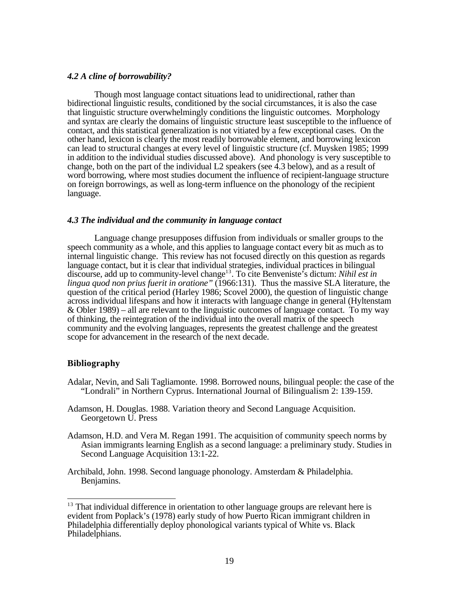## *4.2 A cline of borrowability?*

Though most language contact situations lead to unidirectional, rather than bidirectional linguistic results, conditioned by the social circumstances, it is also the case that linguistic structure overwhelmingly conditions the linguistic outcomes. Morphology and syntax are clearly the domains of linguistic structure least susceptible to the influence of contact, and this statistical generalization is not vitiated by a few exceptional cases. On the other hand, lexicon is clearly the most readily borrowable element, and borrowing lexicon can lead to structural changes at every level of linguistic structure (cf. Muysken 1985; 1999 in addition to the individual studies discussed above). And phonology is very susceptible to change, both on the part of the individual L2 speakers (see  $\overline{4}$ , 3 below), and as a result of word borrowing, where most studies document the influence of recipient-language structure on foreign borrowings, as well as long-term influence on the phonology of the recipient language.

## *4.3 The individual and the community in language contact*

Language change presupposes diffusion from individuals or smaller groups to the speech community as a whole, and this applies to language contact every bit as much as to internal linguistic change. This review has not focused directly on this question as regards language contact, but it is clear that individual strategies, individual practices in bilingual discourse, add up to community-level change<sup>13</sup>. To cite Benveniste's dictum: *Nihil est in lingua quod non prius fuerit in oratione"* (1966:131). Thus the massive SLA literature, the question of the critical period (Harley 1986; Scovel 2000), the question of linguistic change across individual lifespans and how it interacts with language change in general (Hyltenstam & Obler 1989) – all are relevant to the linguistic outcomes of language contact. To my way of thinking, the reintegration of the individual into the overall matrix of the speech community and the evolving languages, represents the greatest challenge and the greatest scope for advancement in the research of the next decade.

## **Bibliography**

 $\overline{1}$ 

- Adalar, Nevin, and Sali Tagliamonte. 1998. Borrowed nouns, bilingual people: the case of the "Londrali" in Northern Cyprus. International Journal of Bilingualism 2: 139-159.
- Adamson, H. Douglas. 1988. Variation theory and Second Language Acquisition. Georgetown U. Press
- Adamson, H.D. and Vera M. Regan 1991. The acquisition of community speech norms by Asian immigrants learning English as a second language: a preliminary study. Studies in Second Language Acquisition 13:1-22.
- Archibald, John. 1998. Second language phonology. Amsterdam & Philadelphia. Benjamins.

 $13$  That individual difference in orientation to other language groups are relevant here is evident from Poplack's (1978) early study of how Puerto Rican immigrant children in Philadelphia differentially deploy phonological variants typical of White vs. Black Philadelphians.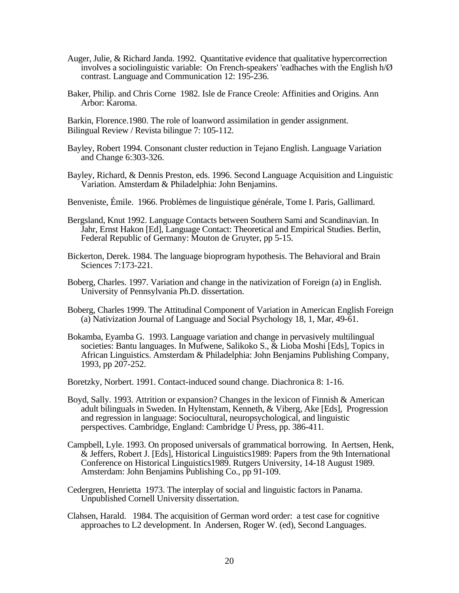- Auger, Julie, & Richard Janda. 1992. Quantitative evidence that qualitative hypercorrection involves a sociolinguistic variable: On French-speakers' 'eadhaches with the English  $h/\mathcal{O}$ contrast. Language and Communication 12: 195-236.
- Baker, Philip. and Chris Corne 1982. Isle de France Creole: Affinities and Origins. Ann Arbor: Karoma.

Barkin, Florence.1980. The role of loanword assimilation in gender assignment. Bilingual Review / Revista bilingue 7: 105-112.

- Bayley, Robert 1994. Consonant cluster reduction in Tejano English. Language Variation and Change 6:303-326.
- Bayley, Richard, & Dennis Preston, eds. 1996. Second Language Acquisition and Linguistic Variation. Amsterdam & Philadelphia: John Benjamins.
- Benveniste, Émile. 1966. Problèmes de linguistique générale, Tome I. Paris, Gallimard.
- Bergsland, Knut 1992. Language Contacts between Southern Sami and Scandinavian. In Jahr, Ernst Hakon [Ed], Language Contact: Theoretical and Empirical Studies. Berlin, Federal Republic of Germany: Mouton de Gruyter, pp 5-15.
- Bickerton, Derek. 1984. The language bioprogram hypothesis. The Behavioral and Brain Sciences 7:173-221.
- Boberg, Charles. 1997. Variation and change in the nativization of Foreign (a) in English. University of Pennsylvania Ph.D. dissertation.
- Boberg, Charles 1999. The Attitudinal Component of Variation in American English Foreign (a) Nativization Journal of Language and Social Psychology 18, 1, Mar, 49-61.
- Bokamba, Eyamba G. 1993. Language variation and change in pervasively multilingual societies: Bantu languages. In Mufwene, Salikoko S., & Lioba Moshi [Eds], Topics in African Linguistics. Amsterdam & Philadelphia: John Benjamins Publishing Company, 1993, pp 207-252.
- Boretzky, Norbert. 1991. Contact-induced sound change. Diachronica 8: 1-16.
- Boyd, Sally. 1993. Attrition or expansion? Changes in the lexicon of Finnish & American adult bilinguals in Sweden. In Hyltenstam, Kenneth, & Viberg, Ake [Eds], Progression and regression in language: Sociocultural, neuropsychological, and linguistic perspectives. Cambridge, England: Cambridge U Press, pp. 386-411.
- Campbell, Lyle. 1993. On proposed universals of grammatical borrowing. In Aertsen, Henk, & Jeffers, Robert J. [Eds], Historical Linguistics1989: Papers from the 9th International Conference on Historical Linguistics1989. Rutgers University, 14-18 August 1989. Amsterdam: John Benjamins Publishing Co., pp 91-109.
- Cedergren, Henrietta 1973. The interplay of social and linguistic factors in Panama. Unpublished Cornell University dissertation.
- Clahsen, Harald. 1984. The acquisition of German word order: a test case for cognitive approaches to L2 development. In Andersen, Roger W. (ed), Second Languages.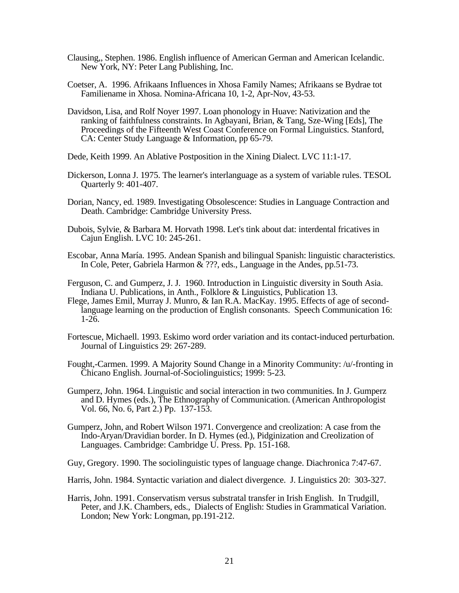- Clausing,, Stephen. 1986. English influence of American German and American Icelandic. New York, NY: Peter Lang Publishing, Inc.
- Coetser, A. 1996. Afrikaans Influences in Xhosa Family Names; Afrikaans se Bydrae tot Familiename in Xhosa. Nomina-Africana 10, 1-2, Apr-Nov, 43-53.
- Davidson, Lisa, and Rolf Noyer 1997. Loan phonology in Huave: Nativization and the ranking of faithfulness constraints. In Agbayani, Brian, & Tang, Sze-Wing [Eds], The Proceedings of the Fifteenth West Coast Conference on Formal Linguistics. Stanford, CA: Center Study Language & Information, pp 65-79.
- Dede, Keith 1999. An Ablative Postposition in the Xining Dialect. LVC 11:1-17.
- Dickerson, Lonna J. 1975. The learner's interlanguage as a system of variable rules. TESOL Quarterly 9: 401-407.
- Dorian, Nancy, ed. 1989. Investigating Obsolescence: Studies in Language Contraction and Death. Cambridge: Cambridge University Press.
- Dubois, Sylvie, & Barbara M. Horvath 1998. Let's tink about dat: interdental fricatives in Cajun English. LVC 10: 245-261.
- Escobar, Anna María. 1995. Andean Spanish and bilingual Spanish: linguistic characteristics. In Cole, Peter, Gabriela Harmon & ???, eds., Language in the Andes, pp.51-73.
- Ferguson, C. and Gumperz, J. J. 1960. Introduction in Linguistic diversity in South Asia. Indiana U. Publications, in Anth., Folklore & Linguistics, Publication 13.
- Flege, James Emil, Murray J. Munro, & Ian R.A. MacKay. 1995. Effects of age of secondlanguage learning on the production of English consonants. Speech Communication 16:  $1-26.$
- Fortescue, Michaell. 1993. Eskimo word order variation and its contact-induced perturbation. Journal of Linguistics 29: 267-289.
- Fought,-Carmen. 1999. A Majority Sound Change in a Minority Community: /u/-fronting in Chicano English. Journal-of-Sociolinguistics; 1999: 5-23.
- Gumperz, John. 1964. Linguistic and social interaction in two communities. In J. Gumperz and D. Hymes (eds.), The Ethnography of Communication. (American Anthropologist Vol. 66, No. 6, Part 2.) Pp. 137-153.
- Gumperz, John, and Robert Wilson 1971. Convergence and creolization: A case from the Indo-Aryan/Dravidian border. In D. Hymes (ed.), Pidginization and Creolization of Languages. Cambridge: Cambridge U. Press. Pp. 151-168.

Guy, Gregory. 1990. The sociolinguistic types of language change. Diachronica 7:47-67.

Harris, John. 1984. Syntactic variation and dialect divergence. J. Linguistics 20: 303-327.

Harris, John. 1991. Conservatism versus substratal transfer in Irish English. In Trudgill, Peter, and J.K. Chambers, eds., Dialects of English: Studies in Grammatical Variation. London; New York: Longman, pp.191-212.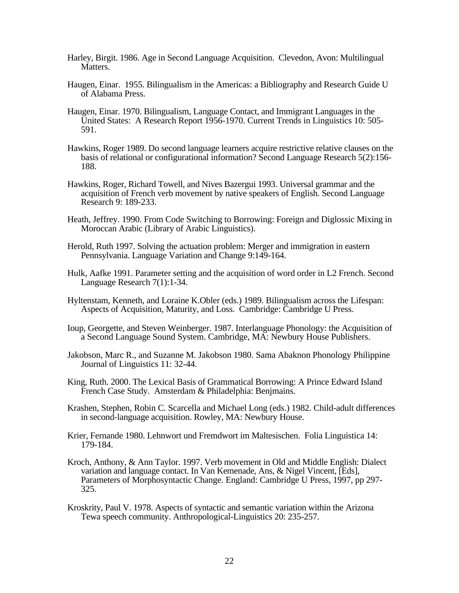- Harley, Birgit. 1986. Age in Second Language Acquisition. Clevedon, Avon: Multilingual Matters.
- Haugen, Einar. 1955. Bilingualism in the Americas: a Bibliography and Research Guide U of Alabama Press.
- Haugen, Einar. 1970. Bilingualism, Language Contact, and Immigrant Languages in the United States: A Research Report 1956-1970. Current Trends in Linguistics 10: 505- 591.
- Hawkins, Roger 1989. Do second language learners acquire restrictive relative clauses on the basis of relational or configurational information? Second Language Research 5(2):156- 188.
- Hawkins, Roger, Richard Towell, and Nives Bazergui 1993. Universal grammar and the acquisition of French verb movement by native speakers of English. Second Language Research 9: 189-233.
- Heath, Jeffrey. 1990. From Code Switching to Borrowing: Foreign and Diglossic Mixing in Moroccan Arabic (Library of Arabic Linguistics).
- Herold, Ruth 1997. Solving the actuation problem: Merger and immigration in eastern Pennsylvania. Language Variation and Change 9:149-164.
- Hulk, Aafke 1991. Parameter setting and the acquisition of word order in L2 French. Second Language Research 7(1):1-34.
- Hyltenstam, Kenneth, and Loraine K.Obler (eds.) 1989. Bilingualism across the Lifespan: Aspects of Acquisition, Maturity, and Loss. Cambridge: Cambridge U Press.
- Ioup, Georgette, and Steven Weinberger. 1987. Interlanguage Phonology: the Acquisition of a Second Language Sound System. Cambridge, MA: Newbury House Publishers.
- Jakobson, Marc R., and Suzanne M. Jakobson 1980. Sama Abaknon Phonology Philippine Journal of Linguistics 11: 32-44.
- King, Ruth. 2000. The Lexical Basis of Grammatical Borrowing: A Prince Edward Island French Case Study. Amsterdam & Philadelphia: Benjmains.
- Krashen, Stephen, Robin C. Scarcella and Michael Long (eds.) 1982. Child-adult differences in second-language acquisition. Rowley, MA: Newbury House.
- Krier, Fernande 1980. Lehnwort und Fremdwort im Maltesischen. Folia Linguistica 14: 179-184.
- Kroch, Anthony, & Ann Taylor. 1997. Verb movement in Old and Middle English: Dialect variation and language contact. In Van Kemenade, Ans, & Nigel Vincent, [Eds], Parameters of Morphosyntactic Change. England: Cambridge U Press, 1997, pp 297- 325.
- Kroskrity, Paul V. 1978. Aspects of syntactic and semantic variation within the Arizona Tewa speech community. Anthropological-Linguistics 20: 235-257.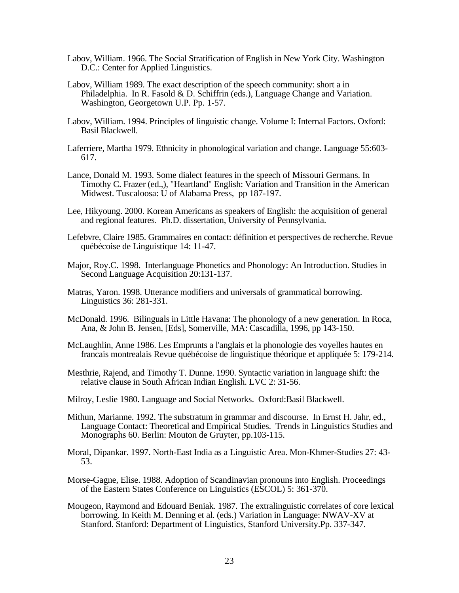- Labov, William. 1966. The Social Stratification of English in New York City. Washington D.C.: Center for Applied Linguistics.
- Labov, William 1989. The exact description of the speech community: short a in Philadelphia. In R. Fasold & D. Schiffrin (eds.), Language Change and Variation. Washington, Georgetown U.P. Pp. 1-57.
- Labov, William. 1994. Principles of linguistic change. Volume I: Internal Factors. Oxford: Basil Blackwell.
- Laferriere, Martha 1979. Ethnicity in phonological variation and change. Language 55:603- 617.
- Lance, Donald M. 1993. Some dialect features in the speech of Missouri Germans. In Timothy C. Frazer (ed.,), "Heartland" English: Variation and Transition in the American Midwest. Tuscaloosa: U of Alabama Press, pp 187-197.
- Lee, Hikyoung. 2000. Korean Americans as speakers of English: the acquisition of general and regional features. Ph.D. dissertation, University of Pennsylvania.
- Lefebvre, Claire 1985. Grammaires en contact: définition et perspectives de recherche.Revue québécoise de Linguistique 14: 11-47.
- Major, Roy.C. 1998. Interlanguage Phonetics and Phonology: An Introduction. Studies in Second Language Acquisition 20:131-137.
- Matras, Yaron. 1998. Utterance modifiers and universals of grammatical borrowing. Linguistics 36: 281-331.
- McDonald. 1996. Bilinguals in Little Havana: The phonology of a new generation. In Roca, Ana, & John B. Jensen, [Eds], Somerville, MA: Cascadilla, 1996, pp 143-150.
- McLaughlin, Anne 1986. Les Emprunts a l'anglais et la phonologie des voyelles hautes en francais montrealais Revue québécoise de linguistique théorique et appliquée 5: 179-214.
- Mesthrie, Rajend, and Timothy T. Dunne. 1990. Syntactic variation in language shift: the relative clause in South African Indian English. LVC 2: 31-56.
- Milroy, Leslie 1980. Language and Social Networks. Oxford:Basil Blackwell.
- Mithun, Marianne. 1992. The substratum in grammar and discourse. In Ernst H. Jahr, ed., Language Contact: Theoretical and Empirical Studies. Trends in Linguistics Studies and Monographs 60. Berlin: Mouton de Gruyter, pp.103-115.
- Moral, Dipankar. 1997. North-East India as a Linguistic Area. Mon-Khmer-Studies 27: 43- 53.
- Morse-Gagne, Elise. 1988. Adoption of Scandinavian pronouns into English. Proceedings of the Eastern States Conference on Linguistics (ESCOL) 5: 361-370.
- Mougeon, Raymond and Edouard Beniak. 1987. The extralinguistic correlates of core lexical borrowing. In Keith M. Denning et al. (eds.) Variation in Language: NWAV-XV at Stanford. Stanford: Department of Linguistics, Stanford University.Pp. 337-347.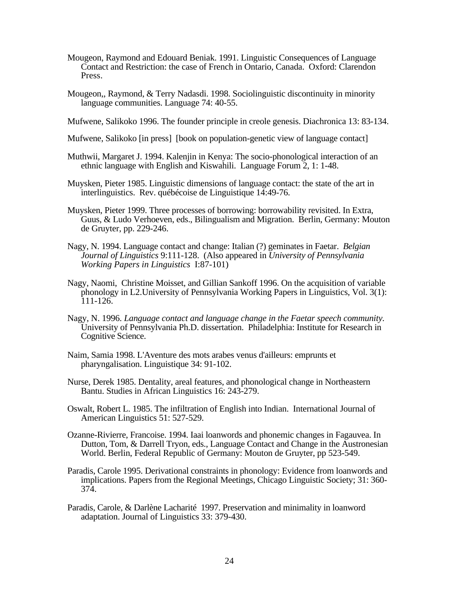- Mougeon, Raymond and Edouard Beniak. 1991. Linguistic Consequences of Language Contact and Restriction: the case of French in Ontario, Canada. Oxford: Clarendon Press.
- Mougeon,, Raymond, & Terry Nadasdi. 1998. Sociolinguistic discontinuity in minority language communities. Language 74: 40-55.

Mufwene, Salikoko 1996. The founder principle in creole genesis. Diachronica 13: 83-134.

- Mufwene, Salikoko [in press] [book on population-genetic view of language contact]
- Muthwii, Margaret J. 1994. Kalenjin in Kenya: The socio-phonological interaction of an ethnic language with English and Kiswahili. Language Forum 2, 1: 1-48.
- Muysken, Pieter 1985. Linguistic dimensions of language contact: the state of the art in interlinguistics. Rev. québécoise de Linguistique 14:49-76.
- Muysken, Pieter 1999. Three processes of borrowing: borrowability revisited. In Extra, Guus, & Ludo Verhoeven, eds., Bilingualism and Migration. Berlin, Germany: Mouton de Gruyter, pp. 229-246.
- Nagy, N. 1994. Language contact and change: Italian (?) geminates in Faetar. *Belgian Journal of Linguistics* 9:111-128. (Also appeared in *University of Pennsylvania Working Papers in Linguistics* I:87-101)
- Nagy, Naomi, Christine Moisset, and Gillian Sankoff 1996. On the acquisition of variable phonology in L2.University of Pennsylvania Working Papers in Linguistics, Vol. 3(1):  $111 - 126.$
- Nagy, N. 1996. *Language contact and language change in the Faetar speech community*. University of Pennsylvania Ph.D. dissertation. Philadelphia: Institute for Research in Cognitive Science.
- Naim, Samia 1998. L'Aventure des mots arabes venus d'ailleurs: emprunts et pharyngalisation. Linguistique 34: 91-102.
- Nurse, Derek 1985. Dentality, areal features, and phonological change in Northeastern Bantu. Studies in African Linguistics 16: 243-279.
- Oswalt, Robert L. 1985. The infiltration of English into Indian. International Journal of American Linguistics 51: 527-529.
- Ozanne-Rivierre, Francoise. 1994. Iaai loanwords and phonemic changes in Fagauvea. In Dutton, Tom, & Darrell Tryon, eds., Language Contact and Change in the Austronesian World. Berlin, Federal Republic of Germany: Mouton de Gruyter, pp 523-549.
- Paradis, Carole 1995. Derivational constraints in phonology: Evidence from loanwords and implications. Papers from the Regional Meetings, Chicago Linguistic Society; 31: 360- 374.
- Paradis, Carole, & Darlène Lacharité 1997. Preservation and minimality in loanword adaptation. Journal of Linguistics 33: 379-430.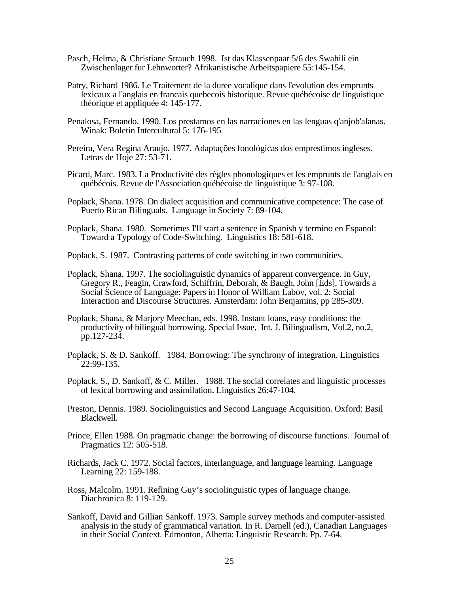- Pasch, Helma, & Christiane Strauch 1998. Ist das Klassenpaar 5/6 des Swahili ein Zwischenlager fur Lehnworter? Afrikanistische Arbeitspapiere 55:145-154.
- Patry, Richard 1986. Le Traitement de la duree vocalique dans l'evolution des emprunts lexicaux a l'anglais en francais quebecois historique. Revue québécoise de linguistique théorique et appliquée 4: 145-177.
- Penalosa, Fernando. 1990. Los prestamos en las narraciones en las lenguas q'anjob'alanas. Winak: Boletin Intercultural 5: 176-195
- Pereira, Vera Regina Araujo. 1977. Adaptações fonológicas dos emprestimos ingleses. Letras de Hoje 27: 53-71.
- Picard, Marc. 1983. La Productivité des règles phonologiques et les emprunts de l'anglais en québécois. Revue de l'Association québécoise de linguistique 3: 97-108.
- Poplack, Shana. 1978. On dialect acquisition and communicative competence: The case of Puerto Rican Bilinguals. Language in Society 7: 89-104.
- Poplack, Shana. 1980. Sometimes I'll start a sentence in Spanish y termino en Espanol: Toward a Typology of Code-Switching. Linguistics 18: 581-618.
- Poplack, S. 1987. Contrasting patterns of code switching in two communities.
- Poplack, Shana. 1997. The sociolinguistic dynamics of apparent convergence. In Guy, Gregory R., Feagin, Crawford, Schiffrin, Deborah, & Baugh, John [Eds], Towards a Social Science of Language: Papers in Honor of William Labov, vol. 2: Social Interaction and Discourse Structures. Amsterdam: John Benjamins, pp 285-309.
- Poplack, Shana, & Marjory Meechan, eds. 1998. Instant loans, easy conditions: the productivity of bilingual borrowing. Special Issue, Int. J. Bilingualism, Vol.2, no.2, pp.127-234.
- Poplack, S. & D. Sankoff. 1984. Borrowing: The synchrony of integration. Linguistics 22:99-135.
- Poplack, S., D. Sankoff, & C. Miller. 1988. The social correlates and linguistic processes of lexical borrowing and assimilation. Linguistics 26:47-104.
- Preston, Dennis. 1989. Sociolinguistics and Second Language Acquisition. Oxford: Basil Blackwell.
- Prince, Ellen 1988. On pragmatic change: the borrowing of discourse functions. Journal of Pragmatics 12: 505-518.
- Richards, Jack C. 1972. Social factors, interlanguage, and language learning. Language Learning 22: 159-188.
- Ross, Malcolm. 1991. Refining Guy's sociolinguistic types of language change. Diachronica 8: 119-129.
- Sankoff, David and Gillian Sankoff. 1973. Sample survey methods and computer-assisted analysis in the study of grammatical variation. In R. Darnell (ed.), Canadian Languages in their Social Context. Edmonton, Alberta: Linguistic Research. Pp. 7-64.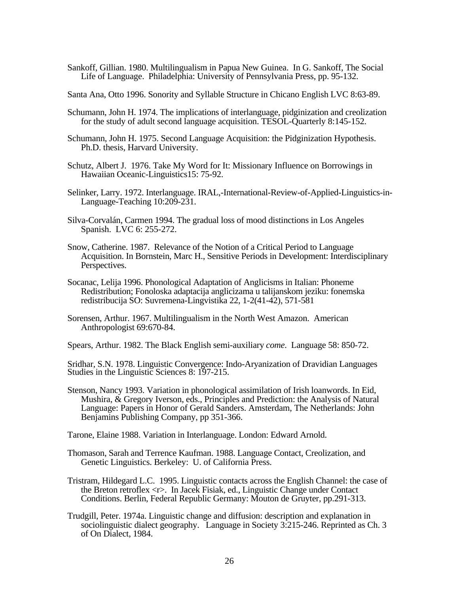Sankoff, Gillian. 1980. Multilingualism in Papua New Guinea. In G. Sankoff, The Social Life of Language. Philadelphia: University of Pennsylvania Press, pp. 95-132.

Santa Ana, Otto 1996. Sonority and Syllable Structure in Chicano English LVC 8:63-89.

- Schumann, John H. 1974. The implications of interlanguage, pidginization and creolization for the study of adult second language acquisition. TESOL-Quarterly 8:145-152.
- Schumann, John H. 1975. Second Language Acquisition: the Pidginization Hypothesis. Ph.D. thesis, Harvard University.
- Schutz, Albert J. 1976. Take My Word for It: Missionary Influence on Borrowings in Hawaiian Oceanic-Linguistics15: 75-92.
- Selinker, Larry. 1972. Interlanguage. IRAL,-International-Review-of-Applied-Linguistics-in-Language-Teaching 10:209-231.
- Silva-Corvalán, Carmen 1994. The gradual loss of mood distinctions in Los Angeles Spanish. LVC 6: 255-272.
- Snow, Catherine. 1987. Relevance of the Notion of a Critical Period to Language Acquisition. In Bornstein, Marc H., Sensitive Periods in Development: Interdisciplinary Perspectives.
- Socanac, Lelija 1996. Phonological Adaptation of Anglicisms in Italian: Phoneme Redistribution; Fonoloska adaptacija anglicizama u talijanskom jeziku: fonemska redistribucija SO: Suvremena-Lingvistika 22, 1-2(41-42), 571-581
- Sorensen, Arthur. 1967. Multilingualism in the North West Amazon. American Anthropologist 69:670-84.

Spears, Arthur. 1982. The Black English semi-auxiliary *come*. Language 58: 850-72.

Sridhar, S.N. 1978. Linguistic Convergence: Indo-Aryanization of Dravidian Languages Studies in the Linguistic Sciences 8: 197-215.

Stenson, Nancy 1993. Variation in phonological assimilation of Irish loanwords. In Eid, Mushira, & Gregory Iverson, eds., Principles and Prediction: the Analysis of Natural Language: Papers in Honor of Gerald Sanders. Amsterdam, The Netherlands: John Benjamins Publishing Company, pp 351-366.

Tarone, Elaine 1988. Variation in Interlanguage. London: Edward Arnold.

- Thomason, Sarah and Terrence Kaufman. 1988. Language Contact, Creolization, and Genetic Linguistics. Berkeley: U. of California Press.
- Tristram, Hildegard L.C. 1995. Linguistic contacts across the English Channel: the case of the Breton retroflex <r>. In Jacek Fisiak, ed., Linguistic Change under Contact Conditions. Berlin, Federal Republic Germany: Mouton de Gruyter, pp.291-313.
- Trudgill, Peter. 1974a. Linguistic change and diffusion: description and explanation in sociolinguistic dialect geography. Language in Society 3:215-246. Reprinted as Ch. 3 of On Dialect, 1984.